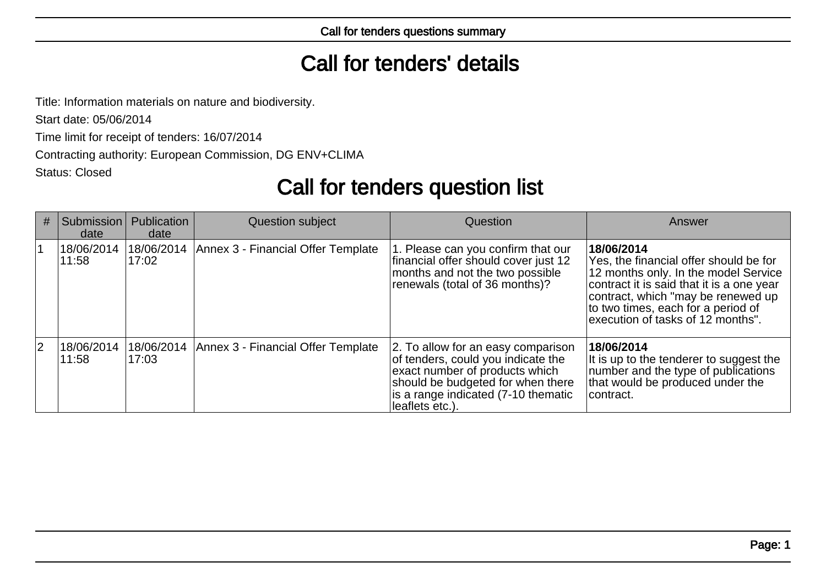## Call for tenders' details

Title: Information materials on nature and biodiversity.

Start date: 05/06/2014

Time limit for receipt of tenders: 16/07/2014

Contracting authority: European Commission, DG ENV+CLIMA

Status: Closed

# Call for tenders question list

| # | Submission<br>date  | Publication<br>date | Question subject                                | Question                                                                                                                                                                                                  | Answer                                                                                                                                                                                                                                                     |
|---|---------------------|---------------------|-------------------------------------------------|-----------------------------------------------------------------------------------------------------------------------------------------------------------------------------------------------------------|------------------------------------------------------------------------------------------------------------------------------------------------------------------------------------------------------------------------------------------------------------|
|   | 18/06/2014<br>11:58 | 17:02               | 18/06/2014   Annex 3 - Financial Offer Template | 1. Please can you confirm that our<br>financial offer should cover just 12<br>months and not the two possible<br>renewals (total of 36 months)?                                                           | 18/06/2014<br>Yes, the financial offer should be for<br>12 months only. In the model Service<br>contract it is said that it is a one year<br>contract, which "may be renewed up<br>to two times, each for a period of<br>execution of tasks of 12 months". |
| 2 | 18/06/2014<br>11:58 | 18/06/2014<br>17:03 | Annex 3 - Financial Offer Template              | 2. To allow for an easy comparison<br>of tenders, could you indicate the<br>exact number of products which<br>should be budgeted for when there<br>is a range indicated (7-10 thematic<br>leaflets etc.). | 18/06/2014<br>It is up to the tenderer to suggest the<br>number and the type of publications<br>that would be produced under the<br> contract.                                                                                                             |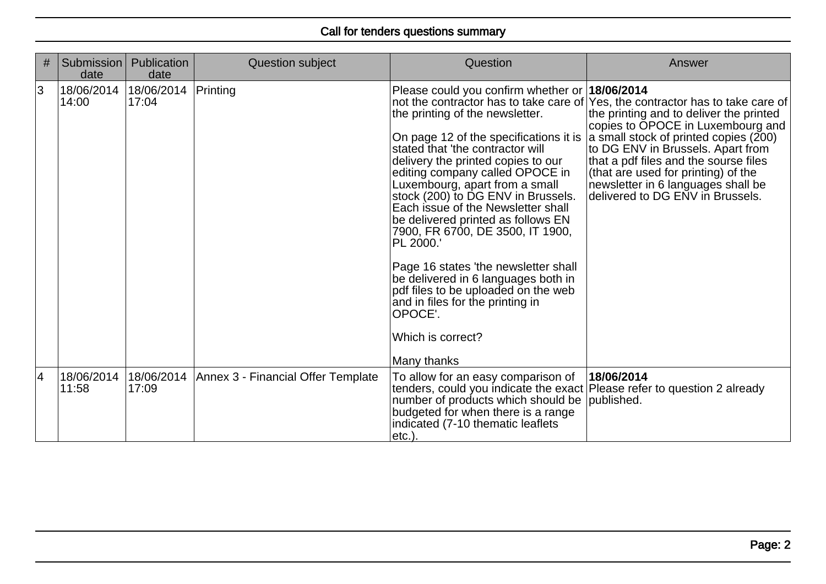| # | <b>Submission</b><br>date      | Publication<br>date | Question subject                   | Question                                                                                                                                                                                                                                                                                                                                                                                                                                                                                                                                                                                                                                               | Answer                                                                                                                                                                                                                                                                                                                                                                                                 |
|---|--------------------------------|---------------------|------------------------------------|--------------------------------------------------------------------------------------------------------------------------------------------------------------------------------------------------------------------------------------------------------------------------------------------------------------------------------------------------------------------------------------------------------------------------------------------------------------------------------------------------------------------------------------------------------------------------------------------------------------------------------------------------------|--------------------------------------------------------------------------------------------------------------------------------------------------------------------------------------------------------------------------------------------------------------------------------------------------------------------------------------------------------------------------------------------------------|
| 3 | 18/06/2014 18/06/2014<br>14:00 | 17:04               | Printing                           | Please could you confirm whether or 18/06/2014<br>the printing of the newsletter.<br>On page 12 of the specifications it is<br>stated that 'the contractor will<br>delivery the printed copies to our<br>editing company called OPOCE in<br>Luxembourg, apart from a small<br>stock (200) to DG ENV in Brussels.<br>Each issue of the Newsletter shall<br>be delivered printed as follows EN<br>7900, FR 6700, DE 3500, IT 1900,<br>PL 2000.'<br>Page 16 states 'the newsletter shall<br>be delivered in 6 languages both in<br>pdf files to be uploaded on the web<br>and in files for the printing in<br>OPOCE'.<br>Which is correct?<br>Many thanks | not the contractor has to take care of Yes, the contractor has to take care of<br>the printing and to deliver the printed<br>copies to OPOCE in Luxembourg and<br>a small stock of printed copies (200)<br>to DG ENV in Brussels. Apart from<br>that a pdf files and the sourse files<br>(that are used for printing) of the<br>newsletter in 6 languages shall be<br>delivered to DG ENV in Brussels. |
| 4 | 18/06/2014<br>11:58            | 18/06/2014<br>17:09 | Annex 3 - Financial Offer Template | To allow for an easy comparison of<br>tenders, could you indicate the exact Please refer to question 2 already<br>number of products which should be published.<br>budgeted for when there is a range<br>indicated (7-10 thematic leaflets<br>etc.).                                                                                                                                                                                                                                                                                                                                                                                                   | 18/06/2014                                                                                                                                                                                                                                                                                                                                                                                             |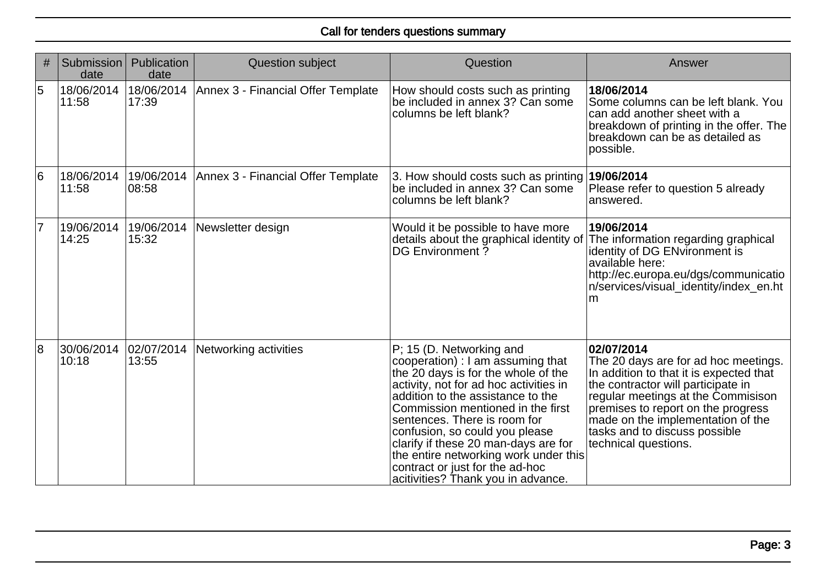| #              | Submission<br>date  | Publication<br>date  | <b>Question subject</b>            | Question                                                                                                                                                                                                                                                                                                                                                                                                                                             | Answer                                                                                                                                                                                                                                                                                                        |
|----------------|---------------------|----------------------|------------------------------------|------------------------------------------------------------------------------------------------------------------------------------------------------------------------------------------------------------------------------------------------------------------------------------------------------------------------------------------------------------------------------------------------------------------------------------------------------|---------------------------------------------------------------------------------------------------------------------------------------------------------------------------------------------------------------------------------------------------------------------------------------------------------------|
| 5              | 18/06/2014<br>11:58 | 18/06/2014<br>17:39  | Annex 3 - Financial Offer Template | How should costs such as printing<br>be included in annex 3? Can some<br>columns be left blank?                                                                                                                                                                                                                                                                                                                                                      | 18/06/2014<br>Some columns can be left blank. You<br>can add another sheet with a<br>breakdown of printing in the offer. The<br>breakdown can be as detailed as<br>possible.                                                                                                                                  |
| $\overline{6}$ | 18/06/2014<br>11:58 | 19/06/2014<br> 08:58 | Annex 3 - Financial Offer Template | 3. How should costs such as printing 19/06/2014<br>be included in annex 3? Can some<br>columns be left blank?                                                                                                                                                                                                                                                                                                                                        | Please refer to question 5 already<br>answered.                                                                                                                                                                                                                                                               |
| $\overline{7}$ | 19/06/2014<br>14:25 | 19/06/2014<br>15:32  | Newsletter design                  | Would it be possible to have more<br>details about the graphical identity of<br>DG Environment?                                                                                                                                                                                                                                                                                                                                                      | 19/06/2014<br>The information regarding graphical<br>identity of DG ENvironment is<br>available here:<br>http://ec.europa.eu/dgs/communicatio<br>n/services/visual identity/index en.ht<br>m                                                                                                                  |
| $\overline{8}$ | 30/06/2014<br>10:18 | 02/07/2014<br>13:55  | Networking activities              | P; 15 (D. Networking and<br>cooperation) : I am assuming that<br>the 20 days is for the whole of the<br>activity, not for ad hoc activities in<br>addition to the assistance to the<br>Commission mentioned in the first<br>sentences. There is room for<br>confusion, so could you please<br>clarify if these 20 man-days are for<br>the entire networking work under this<br>contract or just for the ad-hoc<br>acitivities? Thank you in advance. | 02/07/2014<br>The 20 days are for ad hoc meetings.<br>In addition to that it is expected that<br>the contractor will participate in<br>regular meetings at the Commisison<br>premises to report on the progress<br>made on the implementation of the<br>tasks and to discuss possible<br>technical questions. |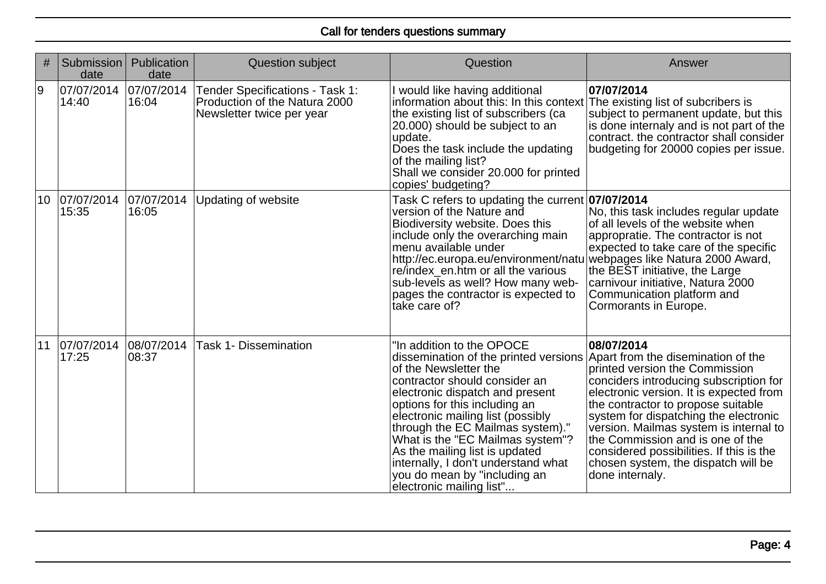| #  | Submission<br>date  | Publication<br>date | <b>Question subject</b>                                                                       | Question                                                                                                                                                                                                                                                                                                                                                                                                                                           | Answer                                                                                                                                                                                                                                                                                                                                                                                                                                     |
|----|---------------------|---------------------|-----------------------------------------------------------------------------------------------|----------------------------------------------------------------------------------------------------------------------------------------------------------------------------------------------------------------------------------------------------------------------------------------------------------------------------------------------------------------------------------------------------------------------------------------------------|--------------------------------------------------------------------------------------------------------------------------------------------------------------------------------------------------------------------------------------------------------------------------------------------------------------------------------------------------------------------------------------------------------------------------------------------|
| 9  | 07/07/2014<br>14:40 | 07/07/2014<br>16:04 | Tender Specifications - Task 1:<br>Production of the Natura 2000<br>Newsletter twice per year | I would like having additional<br>information about this: In this context The existing list of subcribers is<br>the existing list of subscribers (ca<br>20.000) should be subject to an<br>update.<br>Does the task include the updating<br>of the mailing list?<br>Shall we consider 20.000 for printed<br>copies' budgeting?                                                                                                                     | 07/07/2014<br>subject to permanent update, but this<br>is done internaly and is not part of the<br>contract. the contractor shall consider<br>budgeting for 20000 copies per issue.                                                                                                                                                                                                                                                        |
| 10 | 07/07/2014<br>15:35 | 07/07/2014<br>16:05 | <b>Updating of website</b>                                                                    | Task C refers to updating the current 07/07/2014<br>version of the Nature and<br>Biodiversity website. Does this<br>include only the overarching main<br>menu available under<br>http://ec.europa.eu/environment/natu webpages like Natura 2000 Award,<br>re/index_en.htm or all the various<br>sub-levels as well? How many web-<br>pages the contractor is expected to<br>take care of?                                                          | No, this task includes regular update<br>of all levels of the website when<br>appropratie. The contractor is not<br>expected to take care of the specific<br>the BEST initiative, the Large<br>carnivour initiative, Natura 2000<br>Communication platform and<br>Cormorants in Europe.                                                                                                                                                    |
| 11 | 07/07/2014<br>17:25 | 08/07/2014<br>08:37 | <b>Task 1- Dissemination</b>                                                                  | "In addition to the OPOCE<br>dissemination of the printed versions<br>of the Newsletter the<br>contractor should consider an<br>electronic dispatch and present<br>options for this including an<br>electronic mailing list (possibly<br>through the EC Mailmas system)."<br>What is the "EC Mailmas system"?<br>As the mailing list is updated<br>internally, I don't understand what<br>you do mean by "including an<br>electronic mailing list" | 08/07/2014<br>Apart from the disemination of the<br>printed version the Commission<br>conciders introducing subscription for<br>electronic version. It is expected from<br>the contractor to propose suitable<br>system for dispatching the electronic<br>version. Mailmas system is internal to<br>the Commission and is one of the<br>considered possibilities. If this is the<br>chosen system, the dispatch will be<br>done internaly. |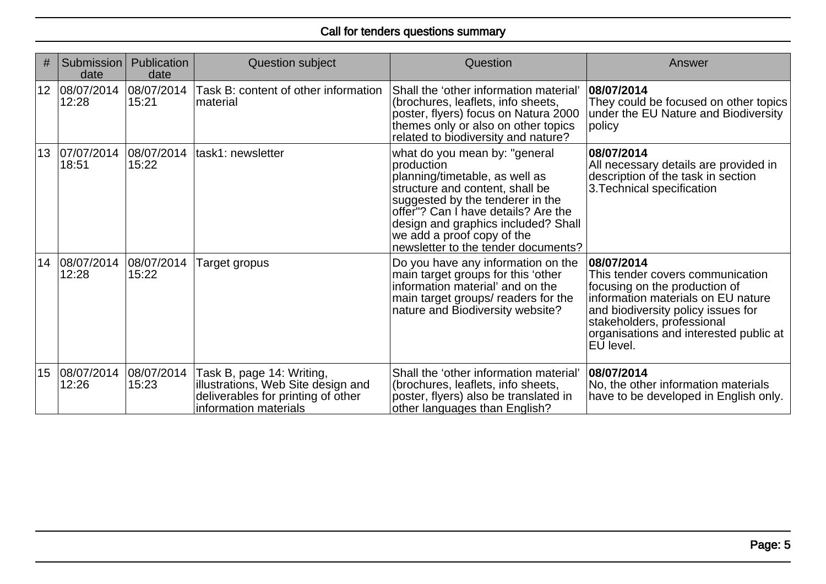| #               | Submission<br>date     | Publication<br>date | Question subject                                                                                                               | Question                                                                                                                                                                                                                                                                                                | Answer                                                                                                                                                                                                                                           |
|-----------------|------------------------|---------------------|--------------------------------------------------------------------------------------------------------------------------------|---------------------------------------------------------------------------------------------------------------------------------------------------------------------------------------------------------------------------------------------------------------------------------------------------------|--------------------------------------------------------------------------------------------------------------------------------------------------------------------------------------------------------------------------------------------------|
|                 | 12 08/07/2014<br>12:28 | 08/07/2014<br>15:21 | Task B: content of other information<br>material                                                                               | Shall the 'other information material'<br>(brochures, leaflets, info sheets,<br>poster, flyers) focus on Natura 2000<br>themes only or also on other topics<br>related to biodiversity and nature?                                                                                                      | 08/07/2014<br>They could be focused on other topics<br>under the EU Nature and Biodiversity<br>policy                                                                                                                                            |
|                 | 13 07/07/2014<br>18:51 | 08/07/2014<br>15:22 | task1: newsletter                                                                                                              | what do you mean by: "general<br>production<br>planning/timetable, as well as<br>structure and content, shall be<br>suggested by the tenderer in the<br>offer"? Can I have details? Are the<br>design and graphics included? Shall<br>we add a proof copy of the<br>newsletter to the tender documents? | 08/07/2014<br>All necessary details are provided in<br>description of the task in section<br>3. Technical specification                                                                                                                          |
| 14              | 08/07/2014<br>12:28    | 08/07/2014<br>15:22 | Target gropus                                                                                                                  | Do you have any information on the<br>main target groups for this 'other<br>information material' and on the<br>main target groups/ readers for the<br>nature and Biodiversity website?                                                                                                                 | 08/07/2014<br>This tender covers communication<br>focusing on the production of<br>information materials on EU nature<br>and biodiversity policy issues for<br>stakeholders, professional<br>organisations and interested public at<br>EU level. |
| 15 <sub>1</sub> | 08/07/2014<br>12:26    | 08/07/2014<br>15:23 | Task B, page 14: Writing,<br>illustrations, Web Site design and<br>deliverables for printing of other<br>information materials | Shall the 'other information material'<br>(brochures, leaflets, info sheets,<br>poster, flyers) also be translated in<br>other languages than English?                                                                                                                                                  | 08/07/2014<br>No, the other information materials<br>have to be developed in English only.                                                                                                                                                       |